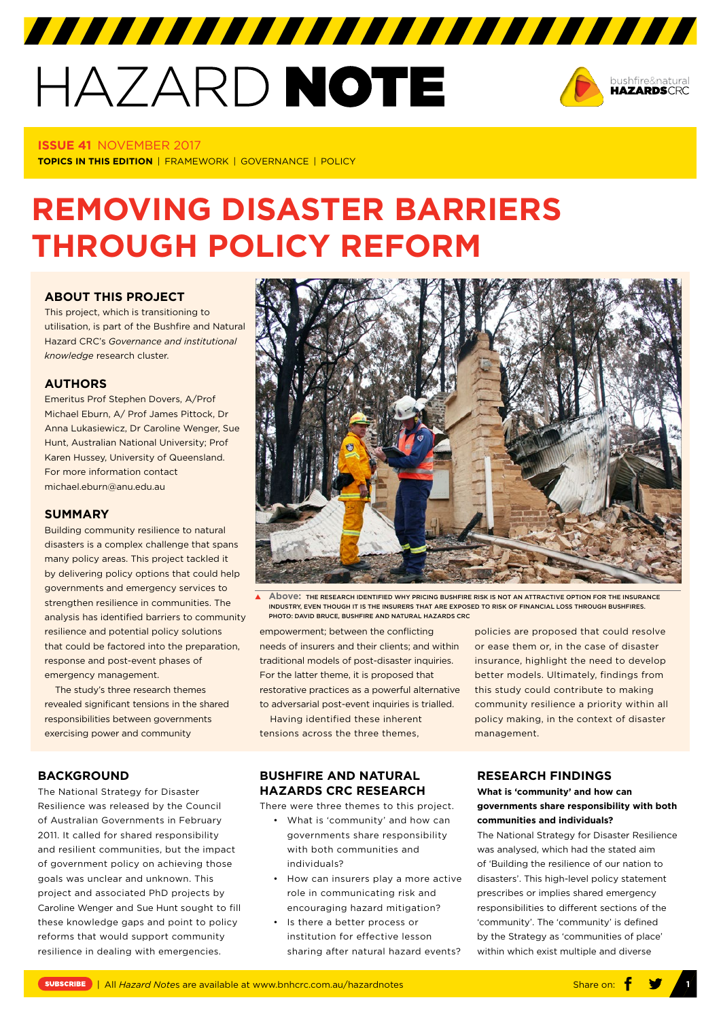# HAZARD NOTE



#### **ISSUE 41** NOVEMBER 2017

**TOPICS IN THIS EDITION** | FRAMEWORK | GOVERNANCE | POLICY

# **REMOVING DISASTER BARRIERS THROUGH POLICY REFORM**

## **[ABOUT THIS PROJECT](https://www.bnhcrc.com.au/research/policy-economics-hazards/233)**

This project, which is transitioning to utilisation, is part of the Bushfire and Natural Hazard CRC's *Governance and institutional knowledge* research cluster.

#### **AUTHORS**

Emeritus Prof Stephen Dovers, A/Prof Michael Eburn, A/ Prof James Pittock, Dr Anna Lukasiewicz, Dr Caroline Wenger, Sue Hunt, Australian National University; Prof Karen Hussey, University of Queensland. For more information contact michael.eburn@anu.edu.au

#### **SUMMARY**

Building community resilience to natural disasters is a complex challenge that spans many policy areas. This project tackled it by delivering policy options that could help governments and emergency services to strengthen resilience in communities. The analysis has identified barriers to community resilience and potential policy solutions that could be factored into the preparation, response and post-event phases of emergency management.

The study's three research themes revealed significant tensions in the shared responsibilities between governments exercising power and community

# **BACKGROUND**

The National Strategy for Disaster Resilience was released by the Council of Australian Governments in February 2011. It called for shared responsibility and resilient communities, but the impact of government policy on achieving those goals was unclear and unknown. This project and associated PhD projects by Caroline Wenger and Sue Hunt sought to fill these knowledge gaps and point to policy reforms that would support community resilience in dealing with emergencies.



**Above:** THE RESEARCH IDENTIFIED WHY PRICING BUSHFIRE RISK IS NOT AN ATTRACTIVE OPTION FOR THE INSURANCE INDUSTRY, EVEN THOUGH IT IS THE INSURERS THAT ARE EXPOSED TO RISK OF FINANCIAL LOSS THROUGH BUSHFIRES. PHOTO: DAVID BRUCE, BUSHFIRE AND NATURAL HAZARDS CRC

empowerment; between the conflicting needs of insurers and their clients; and within traditional models of post-disaster inquiries. For the latter theme, it is proposed that restorative practices as a powerful alternative to adversarial post-event inquiries is trialled.

Having identified these inherent tensions across the three themes,

# **BUSHFIRE AND NATURAL HAZARDS CRC RESEARCH**

There were three themes to this project.

- What is 'community' and how can governments share responsibility with both communities and individuals?
- How can insurers play a more active role in communicating risk and encouraging hazard mitigation?
- Is there a better process or institution for effective lesson sharing after natural hazard events?

policies are proposed that could resolve or ease them or, in the case of disaster insurance, highlight the need to develop better models. Ultimately, findings from this study could contribute to making community resilience a priority within all policy making, in the context of disaster management.

### **RESEARCH FINDINGS**

### **What is 'community' and how can governments share responsibility with both communities and individuals?**

The National Strategy for Disaster Resilience was analysed, which had the stated aim of 'Building the resilience of our nation to disasters'. This high-level policy statement prescribes or implies shared emergency responsibilities to different sections of the 'community'. The 'community' is defined by the Strategy as 'communities of place' within which exist multiple and diverse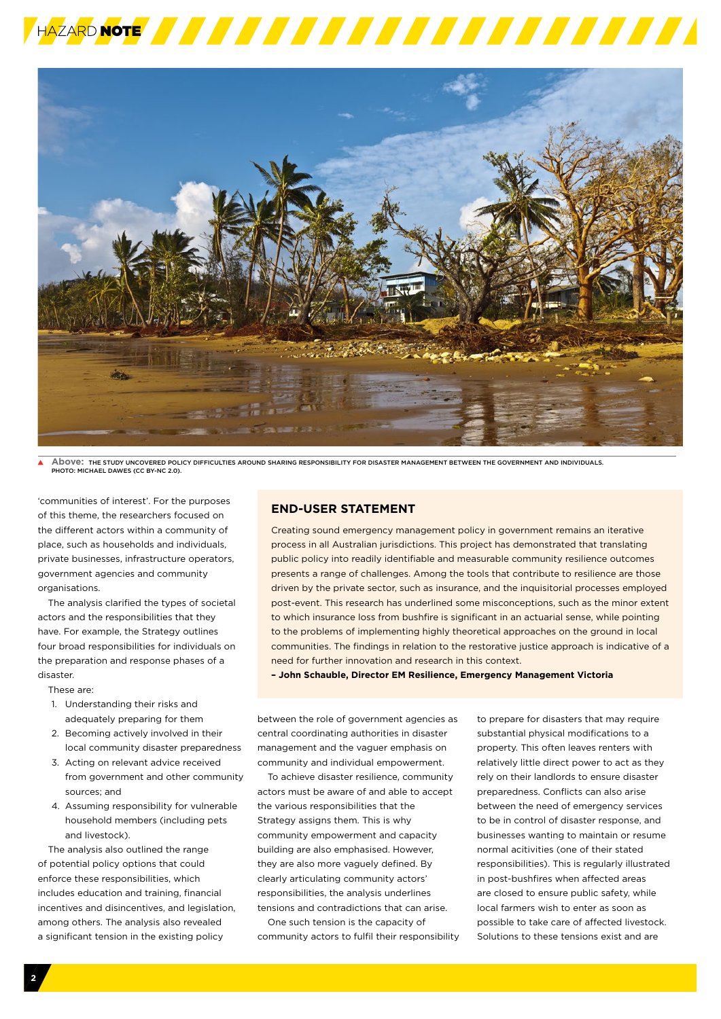



**Above:** THE STUDY UNCOVERED POLICY DIFFICULTIES AROUND SHARING RESPONSIBILITY FOR DISASTER MANAGEMENT BETWEEN THE GOVERNMENT AND INDIVIDUALS. PHOTO: MICHAEL DAWES (CC BY-NC 2.0).

'communities of interest'. For the purposes of this theme, the researchers focused on the different actors within a community of place, such as households and individuals, private businesses, infrastructure operators, government agencies and community organisations.

The analysis clarified the types of societal actors and the responsibilities that they have. For example, the Strategy outlines four broad responsibilities for individuals on the preparation and response phases of a disaster.

These are:

- 1. Understanding their risks and adequately preparing for them
- 2. Becoming actively involved in their local community disaster preparedness
- 3. Acting on relevant advice received from government and other community sources; and
- 4. Assuming responsibility for vulnerable household members (including pets and livestock).

The analysis also outlined the range of potential policy options that could enforce these responsibilities, which includes education and training, financial incentives and disincentives, and legislation, among others. The analysis also revealed a significant tension in the existing policy

#### **END-USER STATEMENT**

Creating sound emergency management policy in government remains an iterative process in all Australian jurisdictions. This project has demonstrated that translating public policy into readily identifiable and measurable community resilience outcomes presents a range of challenges. Among the tools that contribute to resilience are those driven by the private sector, such as insurance, and the inquisitorial processes employed post-event. This research has underlined some misconceptions, such as the minor extent to which insurance loss from bushfire is significant in an actuarial sense, while pointing to the problems of implementing highly theoretical approaches on the ground in local communities. The findings in relation to the restorative justice approach is indicative of a need for further innovation and research in this context.

**– John Schauble, Director EM Resilience, Emergency Management Victoria** 

between the role of government agencies as central coordinating authorities in disaster management and the vaguer emphasis on community and individual empowerment.

To achieve disaster resilience, community actors must be aware of and able to accept the various responsibilities that the Strategy assigns them. This is why community empowerment and capacity building are also emphasised. However, they are also more vaguely defined. By clearly articulating community actors' responsibilities, the analysis underlines tensions and contradictions that can arise.

One such tension is the capacity of community actors to fulfil their responsibility

to prepare for disasters that may require substantial physical modifications to a property. This often leaves renters with relatively little direct power to act as they rely on their landlords to ensure disaster preparedness. Conflicts can also arise between the need of emergency services to be in control of disaster response, and businesses wanting to maintain or resume normal acitivities (one of their stated responsibilities). This is regularly illustrated in post-bushfires when affected areas are closed to ensure public safety, while local farmers wish to enter as soon as possible to take care of affected livestock. Solutions to these tensions exist and are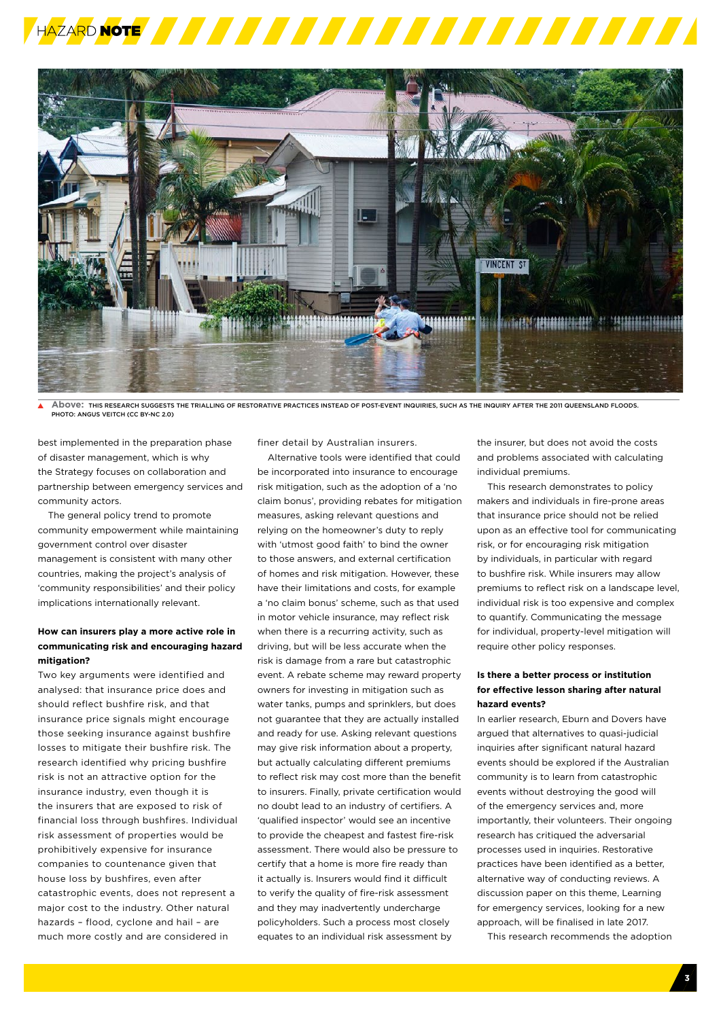



**Above:** THIS RESEARCH SUGGESTS THE TRIALLING OF RESTORATIVE PRACTICES INSTEAD OF POST-EVENT INQUIRIES, SUCH AS THE INQUIRY AFTER THE 2011 QUEENSLAND FLOODS. PHOTO: ANGUS VEITCH (CC BY-NC 2.0)

best implemented in the preparation phase of disaster management, which is why the Strategy focuses on collaboration and partnership between emergency services and community actors.

The general policy trend to promote community empowerment while maintaining government control over disaster management is consistent with many other countries, making the project's analysis of 'community responsibilities' and their policy implications internationally relevant.

#### **How can insurers play a more active role in communicating risk and encouraging hazard mitigation?**

Two key arguments were identified and analysed: that insurance price does and should reflect bushfire risk, and that insurance price signals might encourage those seeking insurance against bushfire losses to mitigate their bushfire risk. The research identified why pricing bushfire risk is not an attractive option for the insurance industry, even though it is the insurers that are exposed to risk of financial loss through bushfires. Individual risk assessment of properties would be prohibitively expensive for insurance companies to countenance given that house loss by bushfires, even after catastrophic events, does not represent a major cost to the industry. Other natural hazards – flood, cyclone and hail – are much more costly and are considered in

finer detail by Australian insurers.

Alternative tools were identified that could be incorporated into insurance to encourage risk mitigation, such as the adoption of a 'no claim bonus', providing rebates for mitigation measures, asking relevant questions and relying on the homeowner's duty to reply with 'utmost good faith' to bind the owner to those answers, and external certification of homes and risk mitigation. However, these have their limitations and costs, for example a 'no claim bonus' scheme, such as that used in motor vehicle insurance, may reflect risk when there is a recurring activity, such as driving, but will be less accurate when the risk is damage from a rare but catastrophic event. A rebate scheme may reward property owners for investing in mitigation such as water tanks, pumps and sprinklers, but does not guarantee that they are actually installed and ready for use. Asking relevant questions may give risk information about a property, but actually calculating different premiums to reflect risk may cost more than the benefit to insurers. Finally, private certification would no doubt lead to an industry of certifiers. A 'qualified inspector' would see an incentive to provide the cheapest and fastest fire-risk assessment. There would also be pressure to certify that a home is more fire ready than it actually is. Insurers would find it difficult to verify the quality of fire-risk assessment and they may inadvertently undercharge policyholders. Such a process most closely equates to an individual risk assessment by

the insurer, but does not avoid the costs and problems associated with calculating individual premiums.

This research demonstrates to policy makers and individuals in fire-prone areas that insurance price should not be relied upon as an effective tool for communicating risk, or for encouraging risk mitigation by individuals, in particular with regard to bushfire risk. While insurers may allow premiums to reflect risk on a landscape level, individual risk is too expensive and complex to quantify. Communicating the message for individual, property-level mitigation will require other policy responses.

#### **Is there a better process or institution for effective lesson sharing after natural hazard events?**

In earlier research, Eburn and Dovers have argued that alternatives to quasi-judicial inquiries after significant natural hazard events should be explored if the Australian community is to learn from catastrophic events without destroying the good will of the emergency services and, more importantly, their volunteers. Their ongoing research has critiqued the adversarial processes used in inquiries. Restorative practices have been identified as a better, alternative way of conducting reviews. A discussion paper on this theme, Learning for emergency services, looking for a new approach, will be finalised in late 2017.

This research recommends the adoption